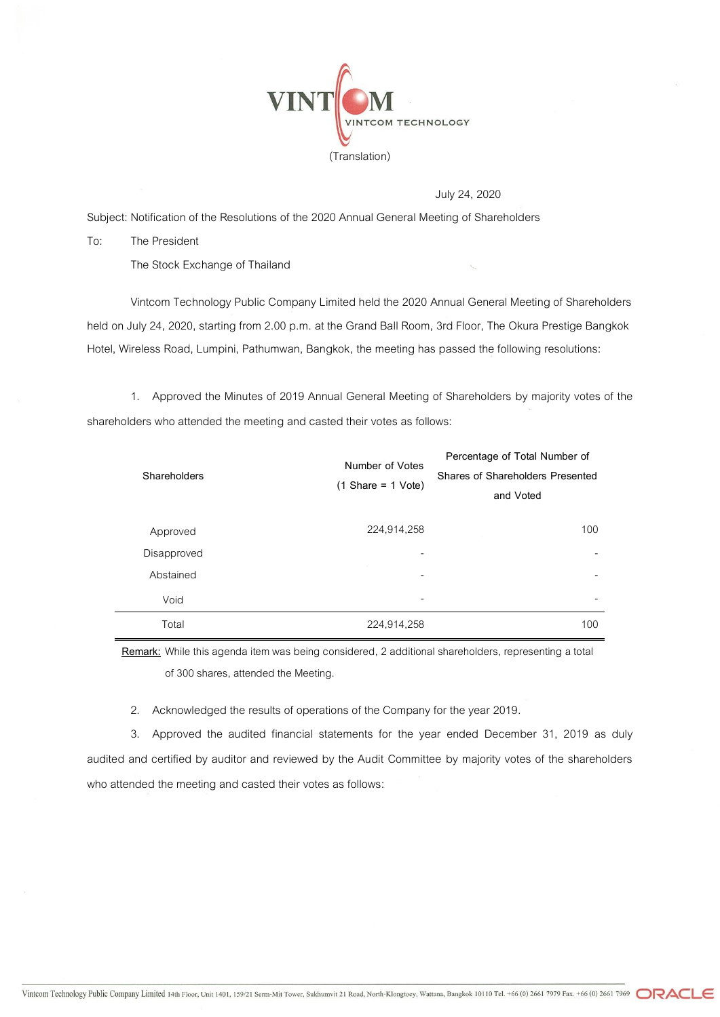

July 24, 2020

Subject: Notification of the Resolutions of the 2020 Annual General Meeting of Shareholders

To: The President

The Stock Exchange of Thailand

Vintcom Technology Public Company Limited held the 2020 Annual General Meeting of Shareholders held on July 24, 2020, starting from 2.00 p.m. at the Grand Ball Room, 3rd Floor, The Okura Prestige Bangkok Hotel, Wireless Road, Lumpini, Pathumwan, Bangkok, the meeting has passed the following resolutions:

1. Approved the Minutes of 2019 Annual General Meeting of Shareholders by majority votes of the shareholders who attended the meeting and casted their votes as follows:

| Shareholders | Number of Votes<br>$(1)$ Share = 1 Vote) | Percentage of Total Number of<br><b>Shares of Shareholders Presented</b><br>and Voted |
|--------------|------------------------------------------|---------------------------------------------------------------------------------------|
| Approved     | 224,914,258                              | 100                                                                                   |
| Disapproved  | -                                        |                                                                                       |
| Abstained    | -                                        |                                                                                       |
| Void         | -                                        |                                                                                       |
| Total        | 224,914,258                              | 100                                                                                   |

**Remark:** While this agenda item was being considered, 2 additional shareholders, representing a total of 300 shares, attended the Meeting.

2. Acknowledged the results of operations of the Company for the year 2019.

3. Approved the audited financial statements for the year ended December 31, 2019 as duly audited and certified by auditor and reviewed by the Audit Committee by majority votes of the shareholders who attended the meeting and casted their votes as follows: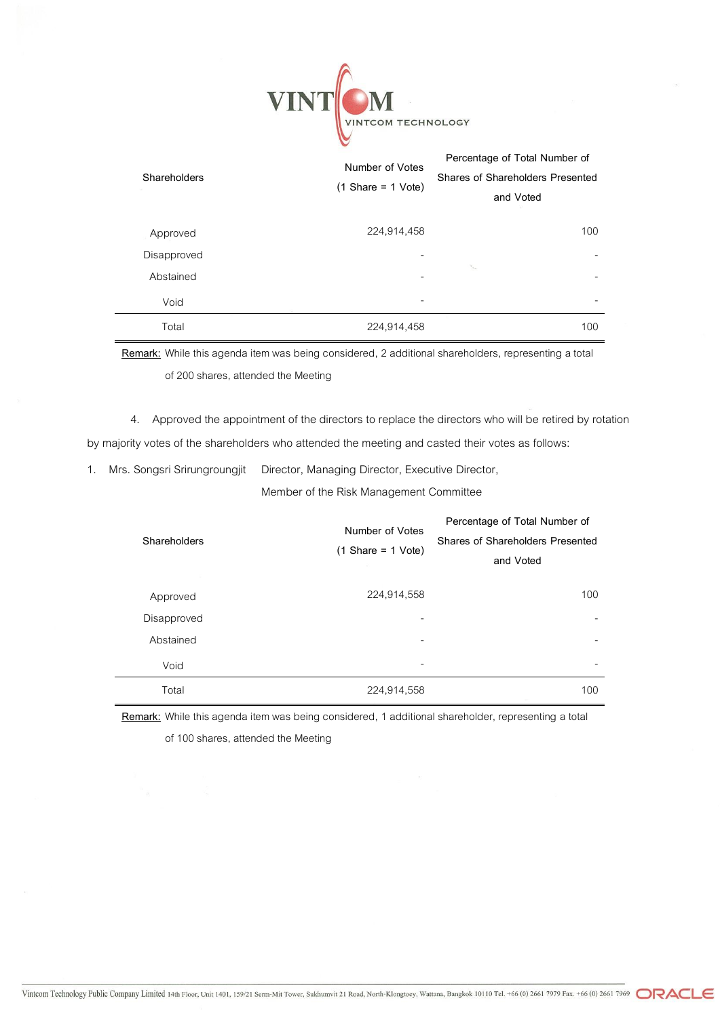

| Shareholders | Number of Votes<br>$(1 \text{Share} = 1 \text{Vote})$ | Percentage of Total Number of<br>Shares of Shareholders Presented<br>and Voted |
|--------------|-------------------------------------------------------|--------------------------------------------------------------------------------|
| Approved     | 224,914,458                                           | 100                                                                            |
| Disapproved  |                                                       |                                                                                |
| Abstained    | $\qquad \qquad \blacksquare$                          | Y.                                                                             |
| Void         | -                                                     |                                                                                |
| Total        | 224,914,458                                           | 100                                                                            |

**Remark:** While this agenda item was being considered, 2 additional shareholders, representing a total of 200 shares, attended the Meeting

4. Approved the appointment of the directors to replace the directors who will be retired by rotation by majority votes of the shareholders who attended the meeting and casted their votes as follows:

1. Mrs. Songsri Srirungroungjit Director, Managing Director, Executive Director,

Member of the Risk Management Committee

| Shareholders | Number of Votes<br>$(1 \text{Share} = 1 \text{Vote})$ | Percentage of Total Number of<br>Shares of Shareholders Presented<br>and Voted |
|--------------|-------------------------------------------------------|--------------------------------------------------------------------------------|
| Approved     | 224,914,558                                           | 100                                                                            |
| Disapproved  |                                                       |                                                                                |
| Abstained    | -                                                     | -                                                                              |
| Void         | -                                                     | -                                                                              |
| Total        | 224,914,558                                           | 100<br><b>STATISTICS</b>                                                       |

**Remark:** While this agenda item was being considered, 1 additional shareholder, representing a total

of 100 shares, attended the Meeting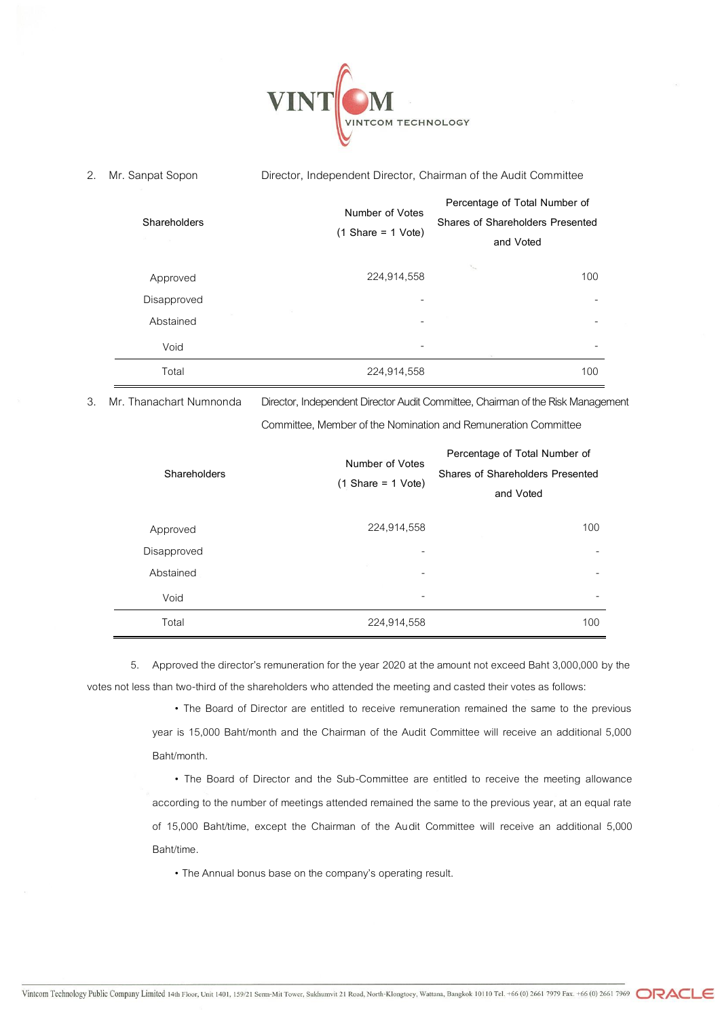

2. Mr. Sanpat Sopon Director, Independent Director, Chairman of the Audit Committee

| Shareholders<br>66.<br><b>Contract Contract</b> | Number of Votes<br>$(1 Share = 1 Vote)$ | Percentage of Total Number of<br>Shares of Shareholders Presented<br>and Voted |
|-------------------------------------------------|-----------------------------------------|--------------------------------------------------------------------------------|
| Approved                                        | 224,914,558                             | ъ.<br>100                                                                      |
| Disapproved                                     |                                         |                                                                                |
| Abstained                                       |                                         |                                                                                |
| Void                                            |                                         |                                                                                |
| Total                                           | 224,914,558                             | 100                                                                            |

3. Mr. Thanachart Numnonda Director, Independent Director Audit Committee, Chairman of the Risk Management

Committee, Member of the Nomination and Remuneration Committee

| Shareholders | Number of Votes<br>$(1)$ Share = 1 Vote) | Percentage of Total Number of<br>Shares of Shareholders Presented<br>and Voted |
|--------------|------------------------------------------|--------------------------------------------------------------------------------|
| Approved     | 224,914,558                              | 100                                                                            |
| Disapproved  |                                          |                                                                                |
| Abstained    |                                          |                                                                                |
| Void         | ۰                                        |                                                                                |
| Total        | 224,914,558                              | 100                                                                            |

5. Approved the director's remuneration for the year 2020 at the amount not exceed Baht 3,000,000 by the votes not less than two-third of the shareholders who attended the meeting and casted their votes as follows:

> • The Board of Director are entitled to receive remuneration remained the same to the previous year is 15,000 Baht/month and the Chairman of the Audit Committee will receive an additional 5,000 Baht/month.

> • The Board of Director and the Sub-Committee are entitled to receive the meeting allowance according to the number of meetings attended remained the same to the previous year, at an equal rate of 15,000 Baht/time, except the Chairman of the Audit Committee will receive an additional 5,000 Baht/time.

• The Annual bonus base on the company's operating result.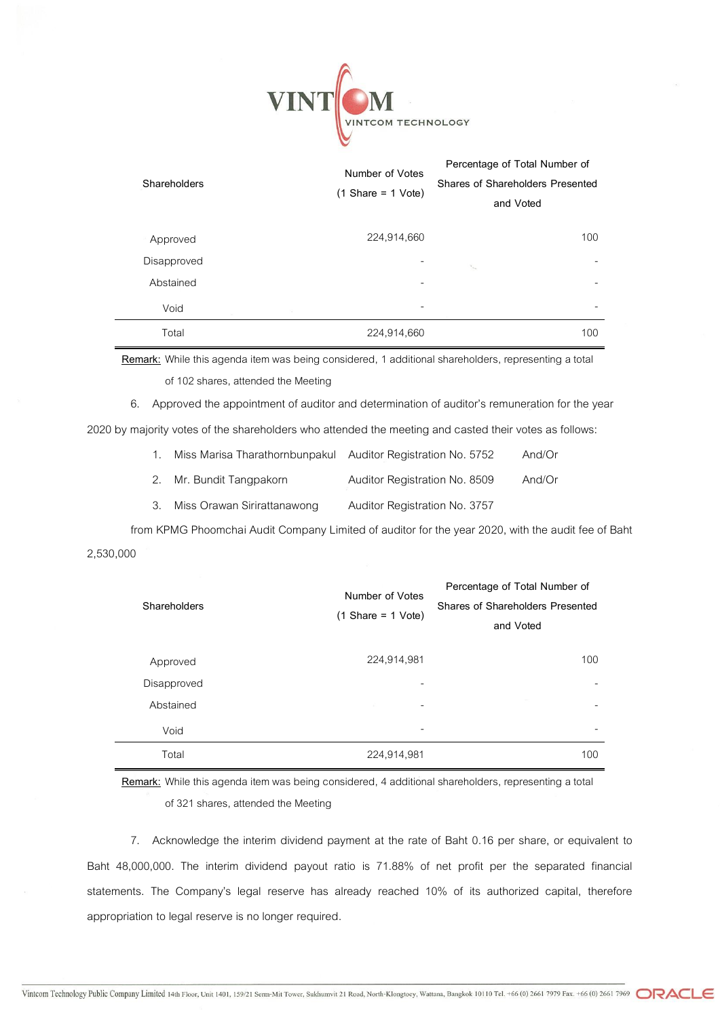

| Shareholders | Number of Votes<br>$(1 \text{Share} = 1 \text{Vote})$ | Percentage of Total Number of<br>Shares of Shareholders Presented<br>and Voted |
|--------------|-------------------------------------------------------|--------------------------------------------------------------------------------|
| Approved     | 224,914,660                                           | 100                                                                            |
| Disapproved  |                                                       | -<br>$\mathcal{H}_{\mathrm{loc}}$                                              |
| Abstained    |                                                       | -                                                                              |
| Void         | $\mathcal{L}_{\mathcal{L}}$                           | ۰                                                                              |
| Total        | 224,914,660                                           | 100                                                                            |

**Remark:** While this agenda item was being considered, 1 additional shareholders, representing a total of 102 shares, attended the Meeting

6. Approved the appointment of auditor and determination of auditor's remuneration for the year

2020 by majority votes of the shareholders who attended the meeting and casted their votes as follows:

| $\mathbf{1}$ . | Miss Marisa Tharathornbunpakul | Auditor Registration No. 5752 | And/Or |
|----------------|--------------------------------|-------------------------------|--------|
|                | 2. Mr. Bundit Tangpakorn       | Auditor Registration No. 8509 | And/Or |
| 3.             | Miss Orawan Sirirattanawong    | Auditor Registration No. 3757 |        |

from KPMG Phoomchai Audit Company Limited of auditor for the year 2020, with the audit fee of Baht 2,530,000

| Shareholders | Number of Votes<br>$(1 Share = 1 Vote)$ | Percentage of Total Number of<br>Shares of Shareholders Presented<br>and Voted |
|--------------|-----------------------------------------|--------------------------------------------------------------------------------|
| Approved     | 224,914,981                             | 100                                                                            |
| Disapproved  | -                                       | -                                                                              |
| Abstained    |                                         |                                                                                |
| Void         | -                                       |                                                                                |
| Total        | 224,914,981                             | 100                                                                            |

**Remark:** While this agenda item was being considered, 4 additional shareholders, representing a total of 321 shares, attended the Meeting

7. Acknowledge the interim dividend payment at the rate of Baht 0.16 per share, or equivalent to Baht 48,000,000. The interim dividend payout ratio is 71.88% of net profit per the separated financial statements. The Company's legal reserve has already reached 10% of its authorized capital, therefore appropriation to legal reserve is no longer required.